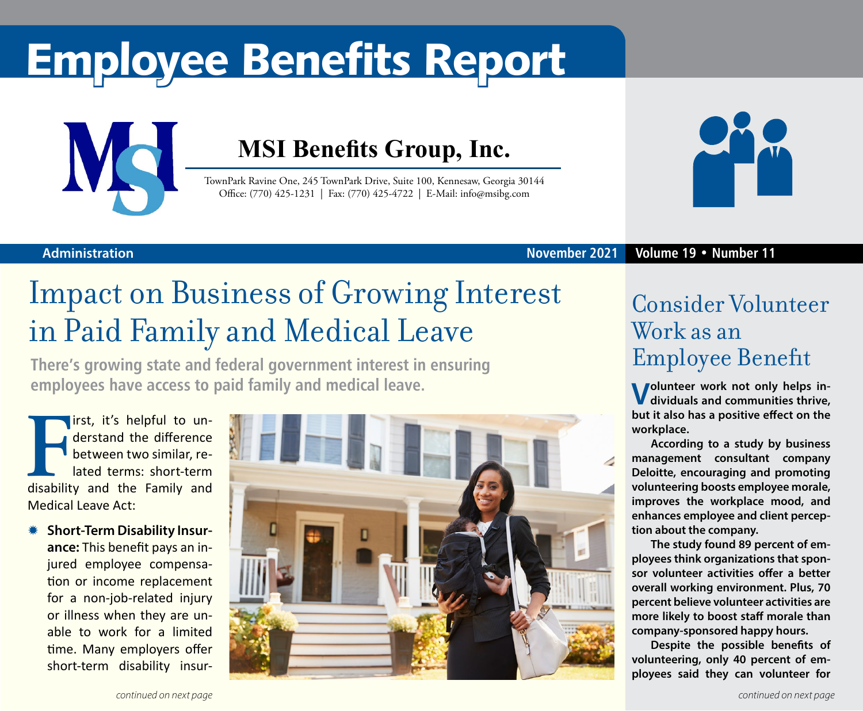# Employee Benefits Report



### **MSI Benefits Group, Inc.**

TownPark Ravine One, 245 TownPark Drive, Suite 100, Kennesaw, Georgia 30144 Office: (770) 425-1231 | Fax: (770) 425-4722 | E-Mail: info@msibg.com



**November 2021 Volume 19 • Number 11**

#### **Administration**

## Impact on Business of Growing Interest in Paid Family and Medical Leave

**There's growing state and federal government interest in ensuring employees have access to paid family and medical leave.**

**FR** it's helpful to understand the difference between two similar, related terms: short-term disability and the Family and irst, it's helpful to understand the difference between two similar, related terms: short-term Medical Leave Act:

**\* Short-Term Disability Insurance:** This benefit pays an injured employee compensation or income replacement for a non-job-related injury or illness when they are unable to work for a limited time. Many employers offer short-term disability insur-



### Consider Volunteer Work as an Employee Benefit

**Volunteer work not only helps in-dividuals and communities thrive, but it also has a positive effect on the workplace.**

**According to a study by business management consultant company Deloitte, encouraging and promoting volunteering boosts employee morale, improves the workplace mood, and enhances employee and client perception about the company.**

**The study found 89 percent of employees think organizations that sponsor volunteer activities offer a better overall working environment. Plus, 70 percent believe volunteer activities are more likely to boost staff morale than company-sponsored happy hours.**

**Despite the possible benefits of volunteering, only 40 percent of employees said they can volunteer for**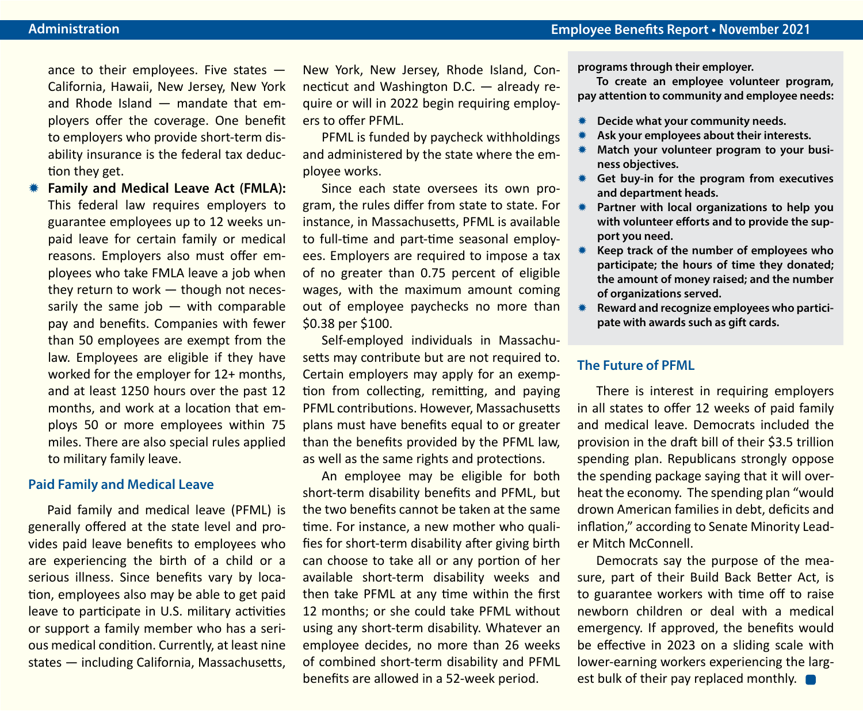ance to their employees. Five states — California, Hawaii, New Jersey, New York and Rhode Island — mandate that employers offer the coverage. One benefit to employers who provide short-term disability insurance is the federal tax deduction they get.

**Family and Medical Leave Act (FMLA):** This federal law requires employers to guarantee employees up to 12 weeks unpaid leave for certain family or medical reasons. Employers also must offer employees who take FMLA leave a job when they return to work — though not necessarily the same job  $-$  with comparable pay and benefits. Companies with fewer than 50 employees are exempt from the law. Employees are eligible if they have worked for the employer for 12+ months, and at least 1250 hours over the past 12 months, and work at a location that employs 50 or more employees within 75 miles. There are also special rules applied to military family leave.

#### **Paid Family and Medical Leave**

Paid family and medical leave (PFML) is generally offered at the state level and provides paid leave benefits to employees who are experiencing the birth of a child or a serious illness. Since benefits vary by location, employees also may be able to get paid leave to participate in U.S. military activities or support a family member who has a serious medical condition. Currently, at least nine states — including California, Massachusetts,

New York, New Jersey, Rhode Island, Connecticut and Washington D.C. — already require or will in 2022 begin requiring employers to offer PFML.

PFML is funded by paycheck withholdings and administered by the state where the employee works.

Since each state oversees its own program, the rules differ from state to state. For instance, in Massachusetts, PFML is available to full-time and part-time seasonal employees. Employers are required to impose a tax of no greater than 0.75 percent of eligible wages, with the maximum amount coming out of employee paychecks no more than \$0.38 per \$100.

Self-employed individuals in Massachusetts may contribute but are not required to. Certain employers may apply for an exemption from collecting, remitting, and paying PFML contributions. However, Massachusetts plans must have benefits equal to or greater than the benefits provided by the PFML law, as well as the same rights and protections.

An employee may be eligible for both short-term disability benefits and PFML, but the two benefits cannot be taken at the same time. For instance, a new mother who qualifies for short-term disability after giving birth can choose to take all or any portion of her available short-term disability weeks and then take PFML at any time within the first 12 months; or she could take PFML without using any short-term disability. Whatever an employee decides, no more than 26 weeks of combined short-term disability and PFML benefits are allowed in a 52-week period.

**programs through their employer.**

**To create an employee volunteer program, pay attention to community and employee needs:**

- **K** Decide what your community needs.
- Ask your employees about their interests.
- Match your volunteer program to your busi**ness objectives.**
- **K** Get buy-in for the program from executives **and department heads.**
- **\*** Partner with local organizations to help you **with volunteer efforts and to provide the support you need.**
- **Keep track of the number of employees who participate; the hours of time they donated; the amount of money raised; and the number of organizations served.**
- \* Reward and recognize employees who partici**pate with awards such as gift cards.**

#### **The Future of PFML**

There is interest in requiring employers in all states to offer 12 weeks of paid family and medical leave. Democrats included the provision in the draft bill of their \$3.5 trillion spending plan. Republicans strongly oppose the spending package saying that it will overheat the economy. The spending plan "would drown American families in debt, deficits and inflation," according to Senate Minority Leader Mitch McConnell.

Democrats say the purpose of the measure, part of their Build Back Better Act, is to guarantee workers with time off to raise newborn children or deal with a medical emergency. If approved, the benefits would be effective in 2023 on a sliding scale with lower-earning workers experiencing the largest bulk of their pay replaced monthly.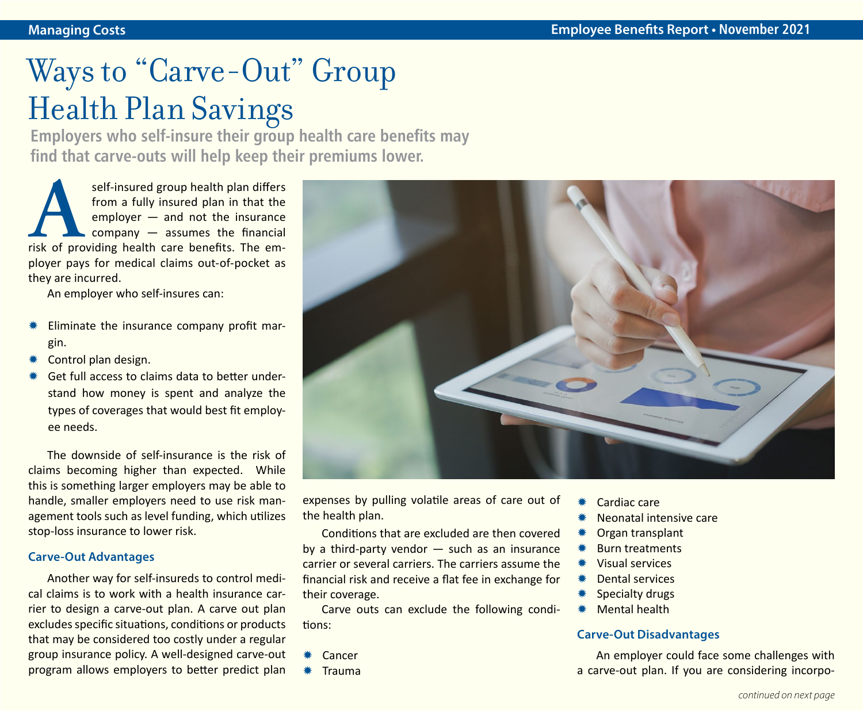# Ways to "Carve-Out" Group Health Plan Savings

**Employers who self-insure their group health care benefits may find that carve-outs will help keep their premiums lower.**

self-insured group health plan differs<br>
from a fully insured plan in that the<br>
employer — and not the insurance<br>
company — assumes the financial<br>
risk of providing health care benefits. The emfrom a fully insured plan in that the employer — and not the insurance company — assumes the financial ployer pays for medical claims out-of-pocket as they are incurred.

An employer who self-insures can:

- Eliminate the insurance company profit margin.
- Control plan design.
- Get full access to claims data to better understand how money is spent and analyze the types of coverages that would best fit employee needs.

The downside of self-insurance is the risk of claims becoming higher than expected. While this is something larger employers may be able to handle, smaller employers need to use risk management tools such as level funding, which utilizes stop-loss insurance to lower risk.

#### **Carve-Out Advantages**

Another way for self-insureds to control medical claims is to work with a health insurance carrier to design a carve-out plan. A carve out plan excludes specific situations, conditions or products that may be considered too costly under a regular group insurance policy. A well-designed carve-out program allows employers to better predict plan



expenses by pulling volatile areas of care out of the health plan.

Conditions that are excluded are then covered by a third-party vendor  $-$  such as an insurance carrier or several carriers. The carriers assume the financial risk and receive a flat fee in exchange for their coverage.

Carve outs can exclude the following conditions:

- $*$  Cancer
- $*$  Trauma
- Cardiac care
- Neonatal intensive care
- Organ transplant
- **Burn treatments**
- Y Visual services
- Dental services
- Specialty drugs
- Mental health

#### **Carve-Out Disadvantages**

An employer could face some challenges with a carve-out plan. If you are considering incorpo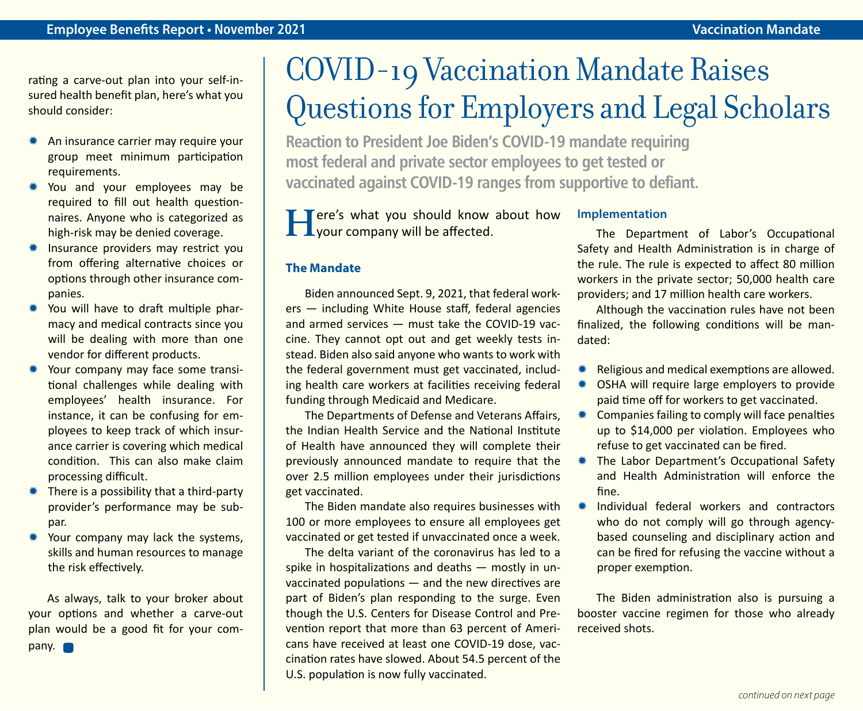rating a carve-out plan into your self-insured health benefit plan, here's what you should consider:

- \* An insurance carrier may require your group meet minimum participation requirements.
- \* You and your employees may be required to fill out health questionnaires. Anyone who is categorized as high-risk may be denied coverage.
- \* Insurance providers may restrict you from offering alternative choices or options through other insurance companies.
- \* You will have to draft multiple pharmacy and medical contracts since you will be dealing with more than one vendor for different products.
- \* Your company may face some transitional challenges while dealing with employees' health insurance. For instance, it can be confusing for employees to keep track of which insurance carrier is covering which medical condition. This can also make claim processing difficult.
- $*$  There is a possibility that a third-party provider's performance may be subpar.
- Your company may lack the systems. skills and human resources to manage the risk effectively.

As always, talk to your broker about your options and whether a carve-out plan would be a good fit for your company.

# COVID-19 Vaccination Mandate Raises Questions for Employers and Legal Scholars

**Reaction to President Joe Biden's COVID-19 mandate requiring most federal and private sector employees to get tested or vaccinated against COVID-19 ranges from supportive to defiant.**

**F T**ere's what you should know about how your company will be affected.

#### **The Mandate**

Biden announced Sept. 9, 2021, that federal workers — including White House staff, federal agencies and armed services — must take the COVID-19 vaccine. They cannot opt out and get weekly tests instead. Biden also said anyone who wants to work with the federal government must get vaccinated, including health care workers at facilities receiving federal funding through Medicaid and Medicare.

The Departments of Defense and Veterans Affairs, the Indian Health Service and the National Institute of Health have announced they will complete their previously announced mandate to require that the over 2.5 million employees under their jurisdictions get vaccinated.

The Biden mandate also requires businesses with 100 or more employees to ensure all employees get vaccinated or get tested if unvaccinated once a week.

The delta variant of the coronavirus has led to a spike in hospitalizations and deaths — mostly in unvaccinated populations — and the new directives are part of Biden's plan responding to the surge. Even though the U.S. Centers for Disease Control and Prevention report that more than 63 percent of Americans have received at least one COVID-19 dose, vaccination rates have slowed. About 54.5 percent of the U.S. population is now fully vaccinated.

#### **Implementation**

The Department of Labor's Occupational Safety and Health Administration is in charge of the rule. The rule is expected to affect 80 million workers in the private sector; 50,000 health care providers; and 17 million health care workers.

Although the vaccination rules have not been finalized, the following conditions will be mandated:

- $*$  Religious and medical exemptions are allowed.
- \* OSHA will require large employers to provide paid time off for workers to get vaccinated.
- $*$  Companies failing to comply will face penalties up to \$14,000 per violation. Employees who refuse to get vaccinated can be fired.
- **\* The Labor Department's Occupational Safety** and Health Administration will enforce the fine.
- \* Individual federal workers and contractors who do not comply will go through agencybased counseling and disciplinary action and can be fired for refusing the vaccine without a proper exemption.

The Biden administration also is pursuing a booster vaccine regimen for those who already received shots.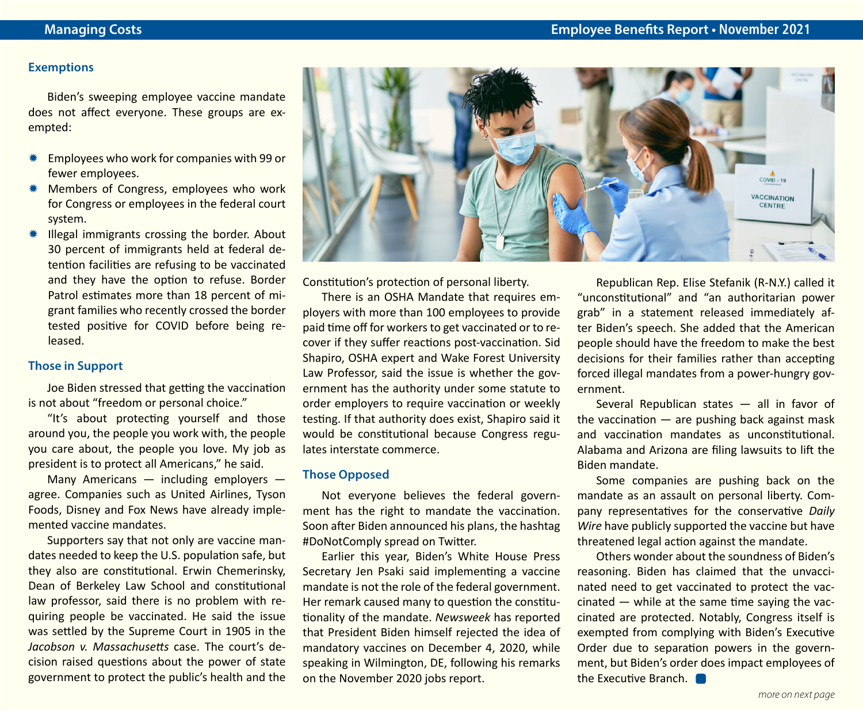#### **Exemptions**

Biden's sweeping employee vaccine mandate does not affect everyone. These groups are exempted:

- Employees who work for companies with 99 or fewer employees.
- Members of Congress, employees who work for Congress or employees in the federal court system.
- $*$  Illegal immigrants crossing the border. About 30 percent of immigrants held at federal detention facilities are refusing to be vaccinated and they have the option to refuse. Border Patrol estimates more than 18 percent of migrant families who recently crossed the border tested positive for COVID before being released.

#### **Those in Support**

Joe Biden stressed that getting the vaccination is not about "freedom or personal choice."

"It's about protecting yourself and those around you, the people you work with, the people you care about, the people you love. My job as president is to protect all Americans," he said.

Many Americans — including employers agree. Companies such as United Airlines, Tyson Foods, Disney and Fox News have already implemented vaccine mandates.

Supporters say that not only are vaccine mandates needed to keep the U.S. population safe, but they also are constitutional. Erwin Chemerinsky, Dean of Berkeley Law School and constitutional law professor, said there is no problem with requiring people be vaccinated. He said the issue was settled by the Supreme Court in 1905 in the *Jacobson v. Massachusetts* case. The court's decision raised questions about the power of state government to protect the public's health and the



Constitution's protection of personal liberty.

There is an OSHA Mandate that requires employers with more than 100 employees to provide paid time off for workers to get vaccinated or to recover if they suffer reactions post-vaccination. Sid Shapiro, OSHA expert and Wake Forest University Law Professor, said the issue is whether the government has the authority under some statute to order employers to require vaccination or weekly testing. If that authority does exist, Shapiro said it would be constitutional because Congress regulates interstate commerce.

#### **Those Opposed**

Not everyone believes the federal government has the right to mandate the vaccination. Soon after Biden announced his plans, the hashtag #DoNotComply spread on Twitter.

Earlier this year, Biden's White House Press Secretary Jen Psaki said implementing a vaccine mandate is not the role of the federal government. Her remark caused many to question the constitutionality of the mandate. *Newsweek* has reported that President Biden himself rejected the idea of mandatory vaccines on December 4, 2020, while speaking in Wilmington, DE, following his remarks on the November 2020 jobs report.

Republican Rep. Elise Stefanik (R-N.Y.) called it "unconstitutional" and "an authoritarian power grab" in a statement released immediately after Biden's speech. She added that the American people should have the freedom to make the best decisions for their families rather than accepting forced illegal mandates from a power-hungry government.

Several Republican states — all in favor of the vaccination  $-$  are pushing back against mask and vaccination mandates as unconstitutional. Alabama and Arizona are filing lawsuits to lift the Biden mandate.

Some companies are pushing back on the mandate as an assault on personal liberty. Company representatives for the conservative *Daily Wire* have publicly supported the vaccine but have threatened legal action against the mandate.

Others wonder about the soundness of Biden's reasoning. Biden has claimed that the unvaccinated need to get vaccinated to protect the vac $c$ inated  $-$  while at the same time saying the vaccinated are protected. Notably, Congress itself is exempted from complying with Biden's Executive Order due to separation powers in the government, but Biden's order does impact employees of the Executive Branch.